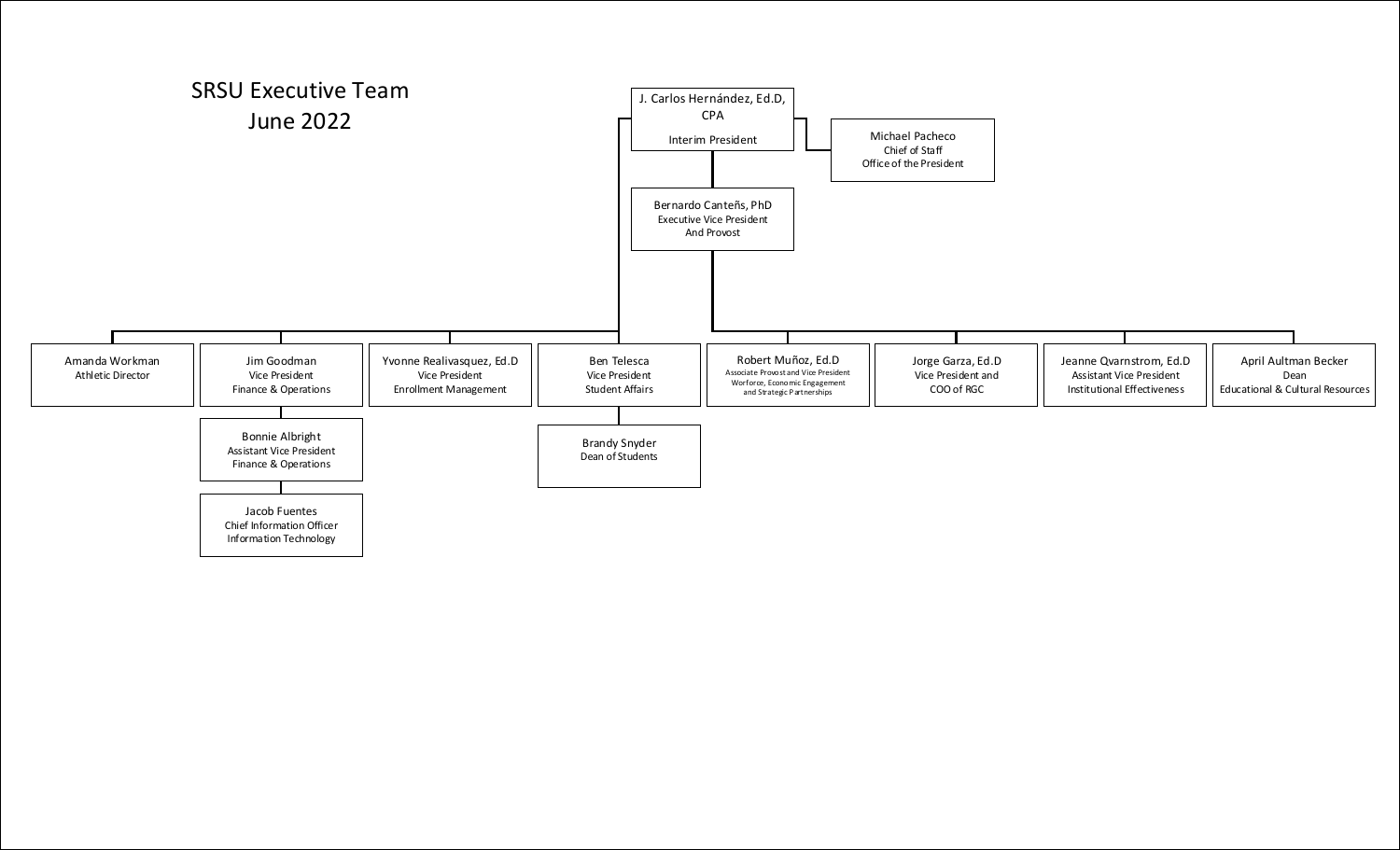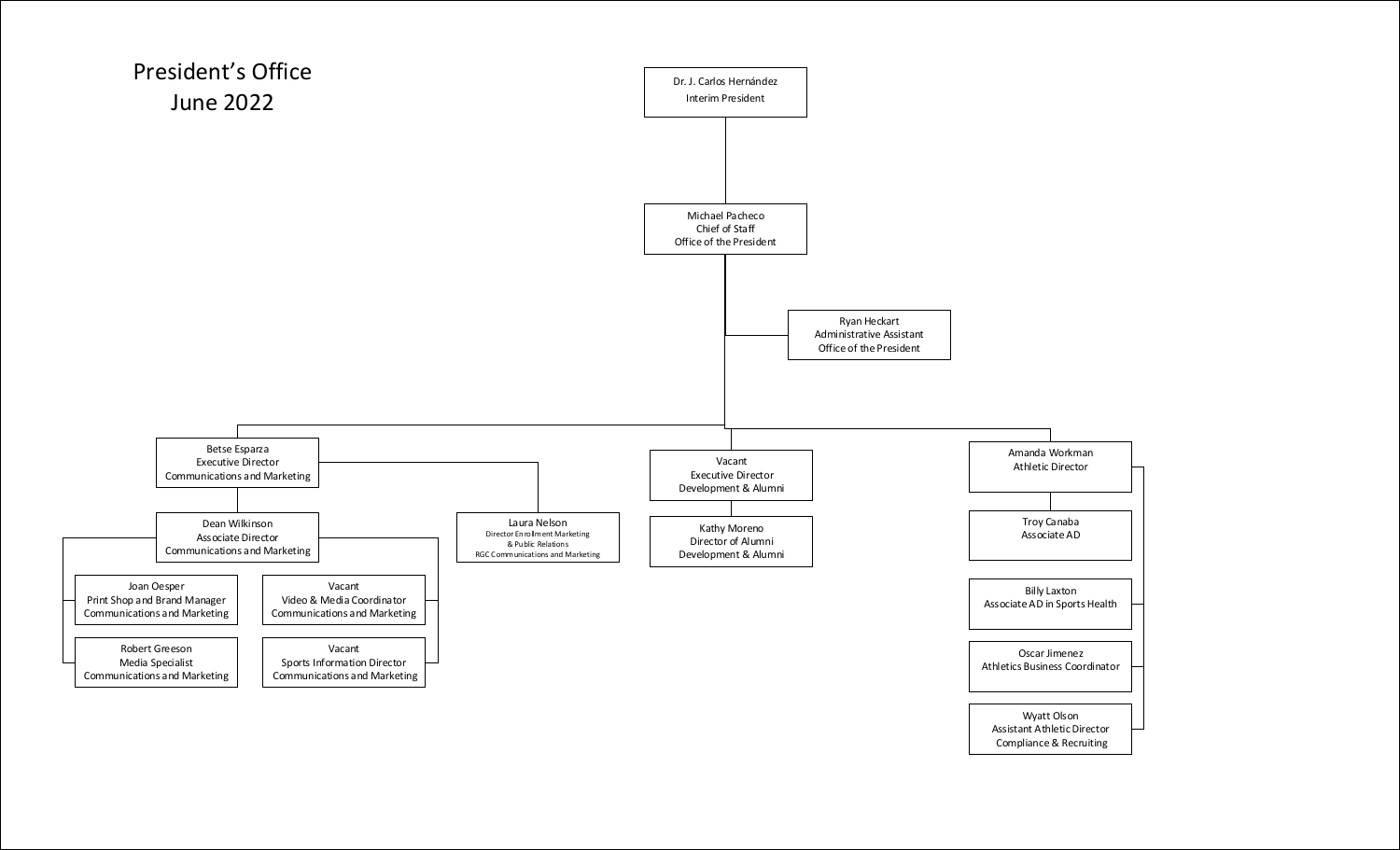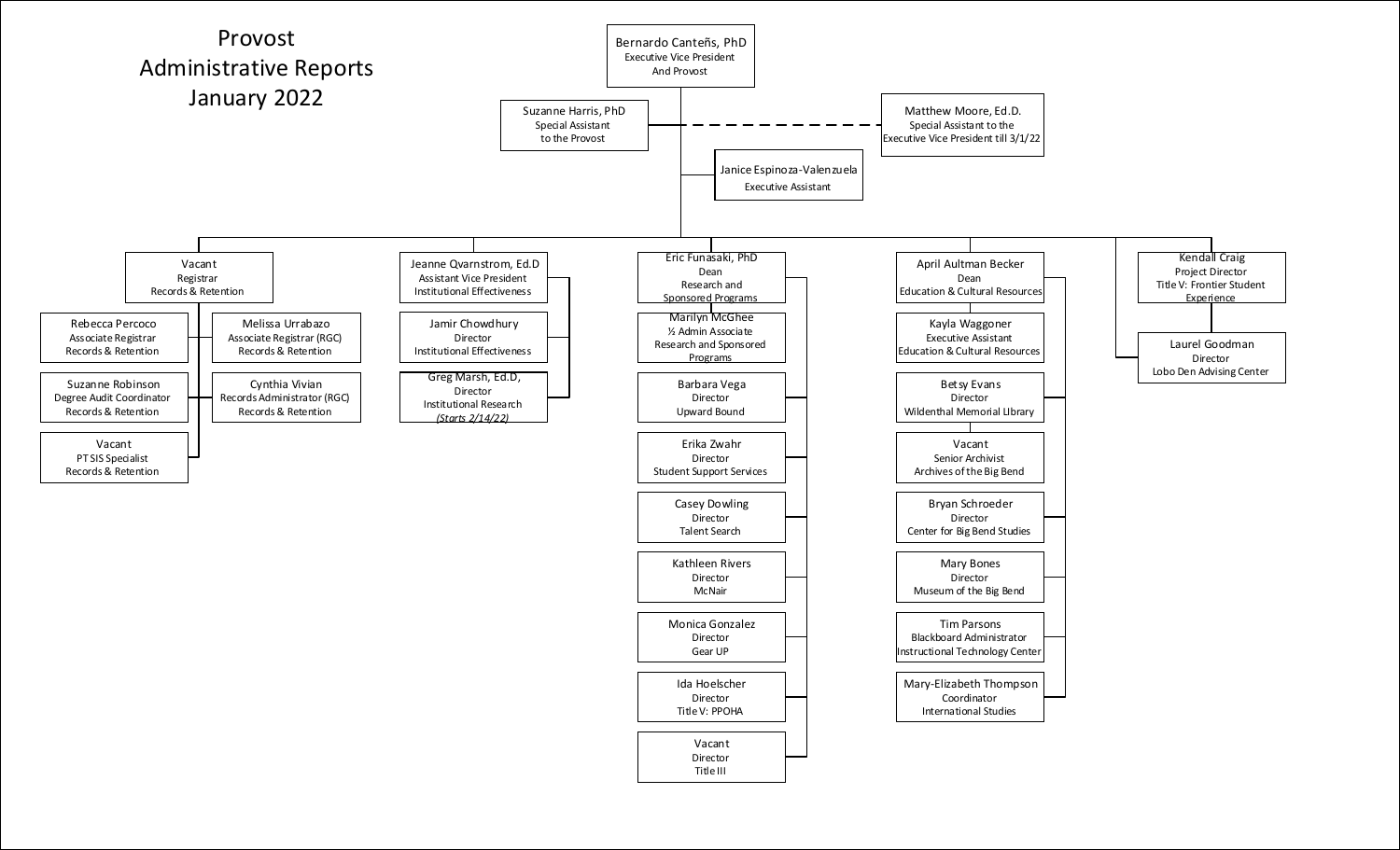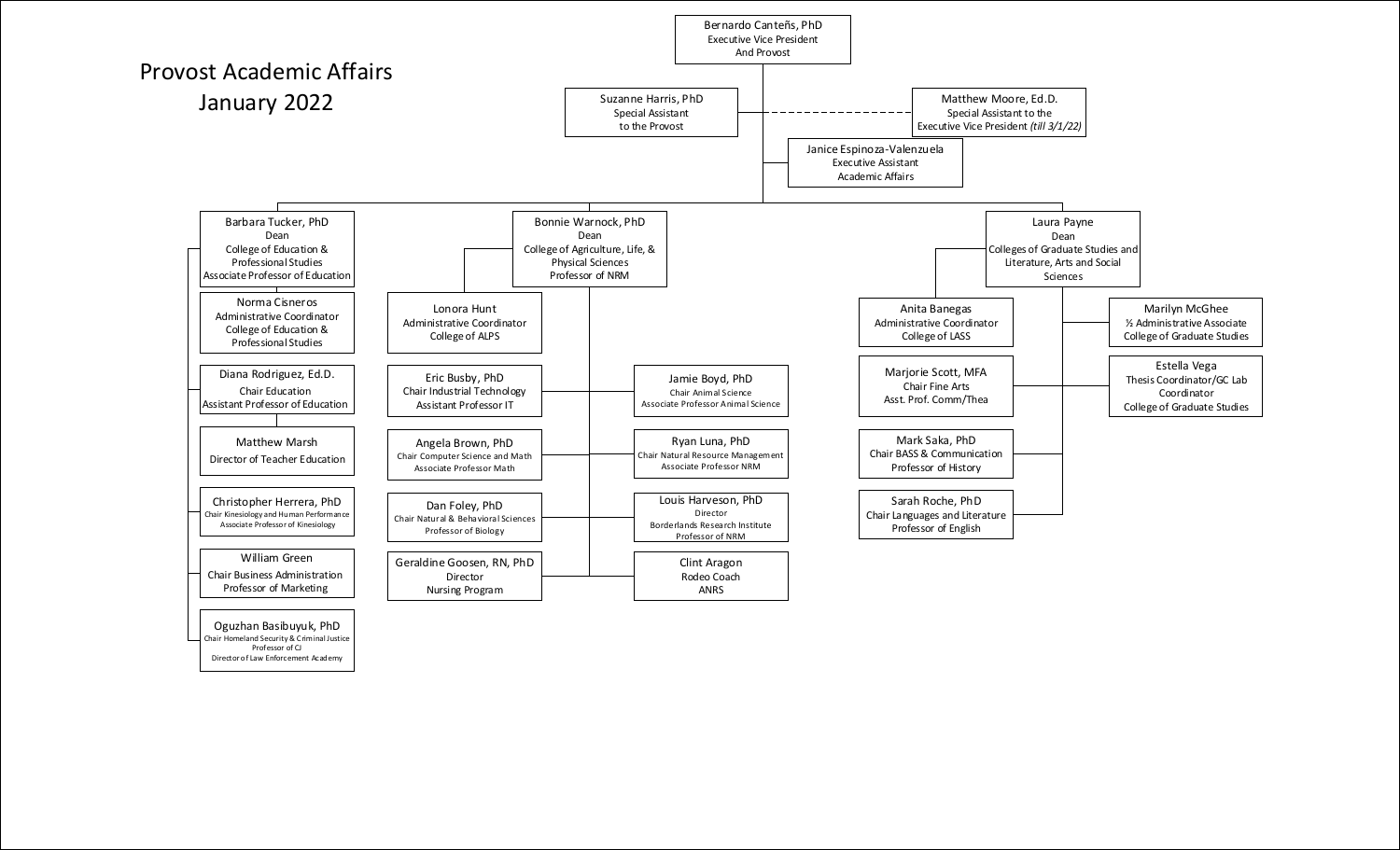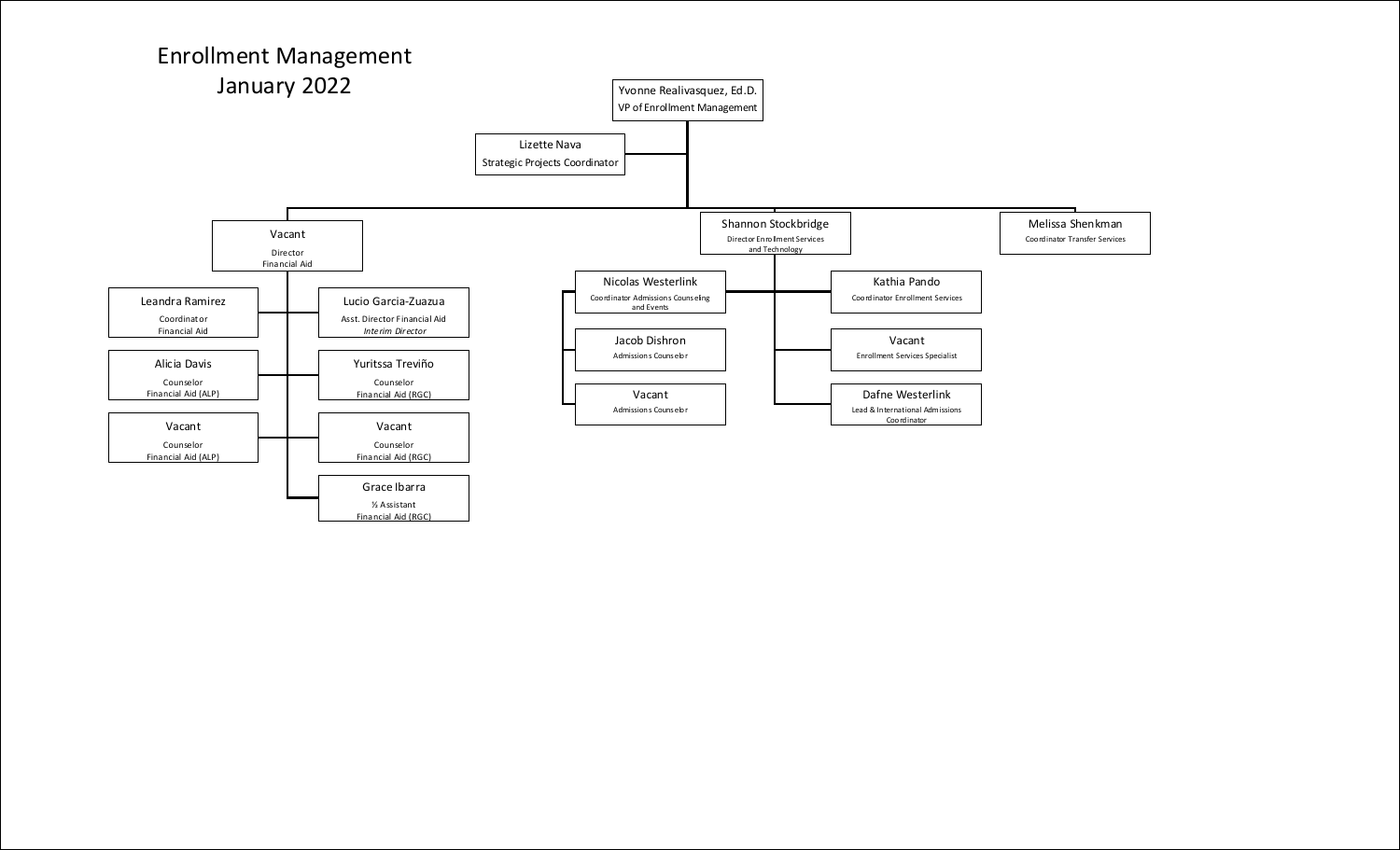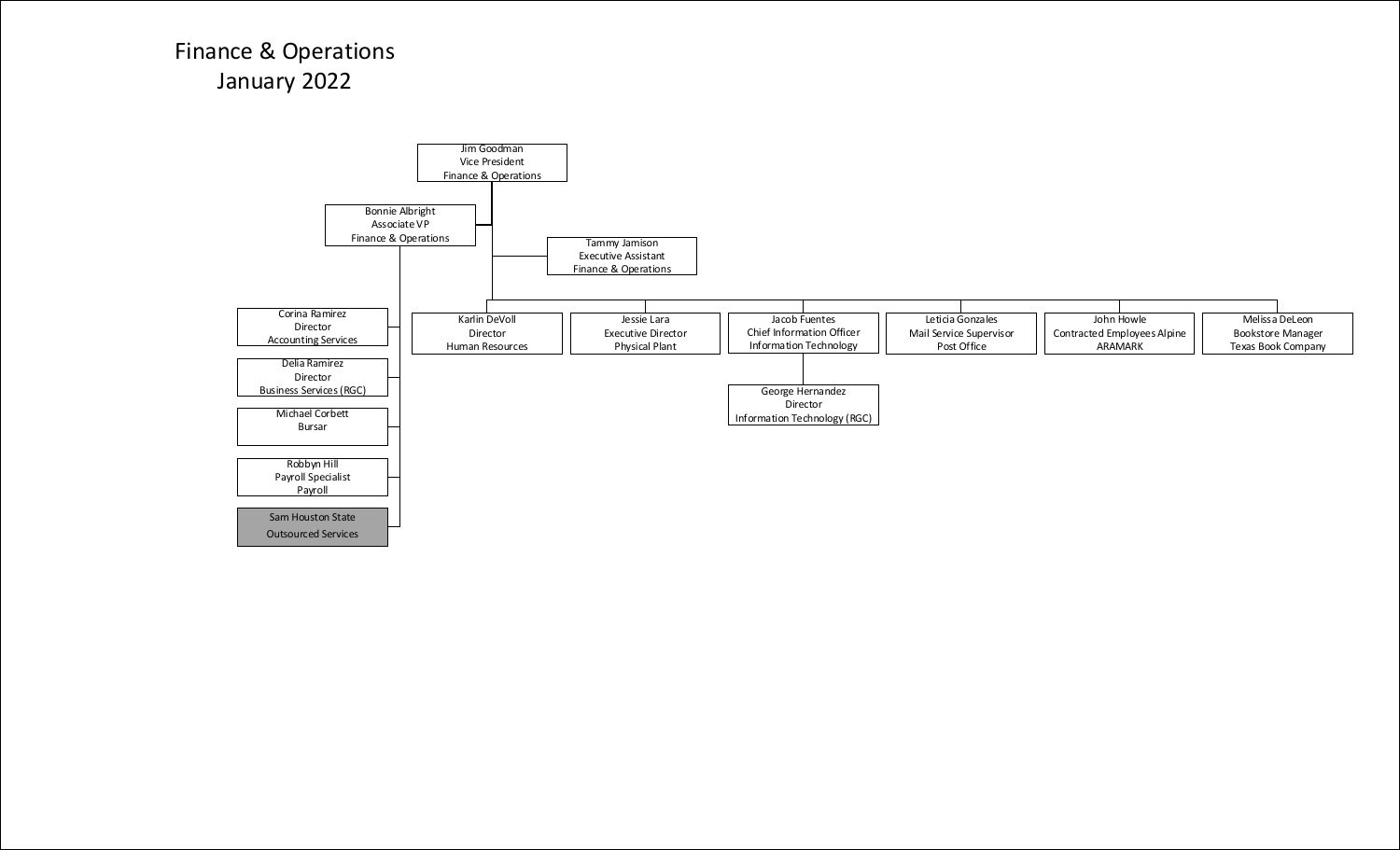## Finance & Operations January 2022

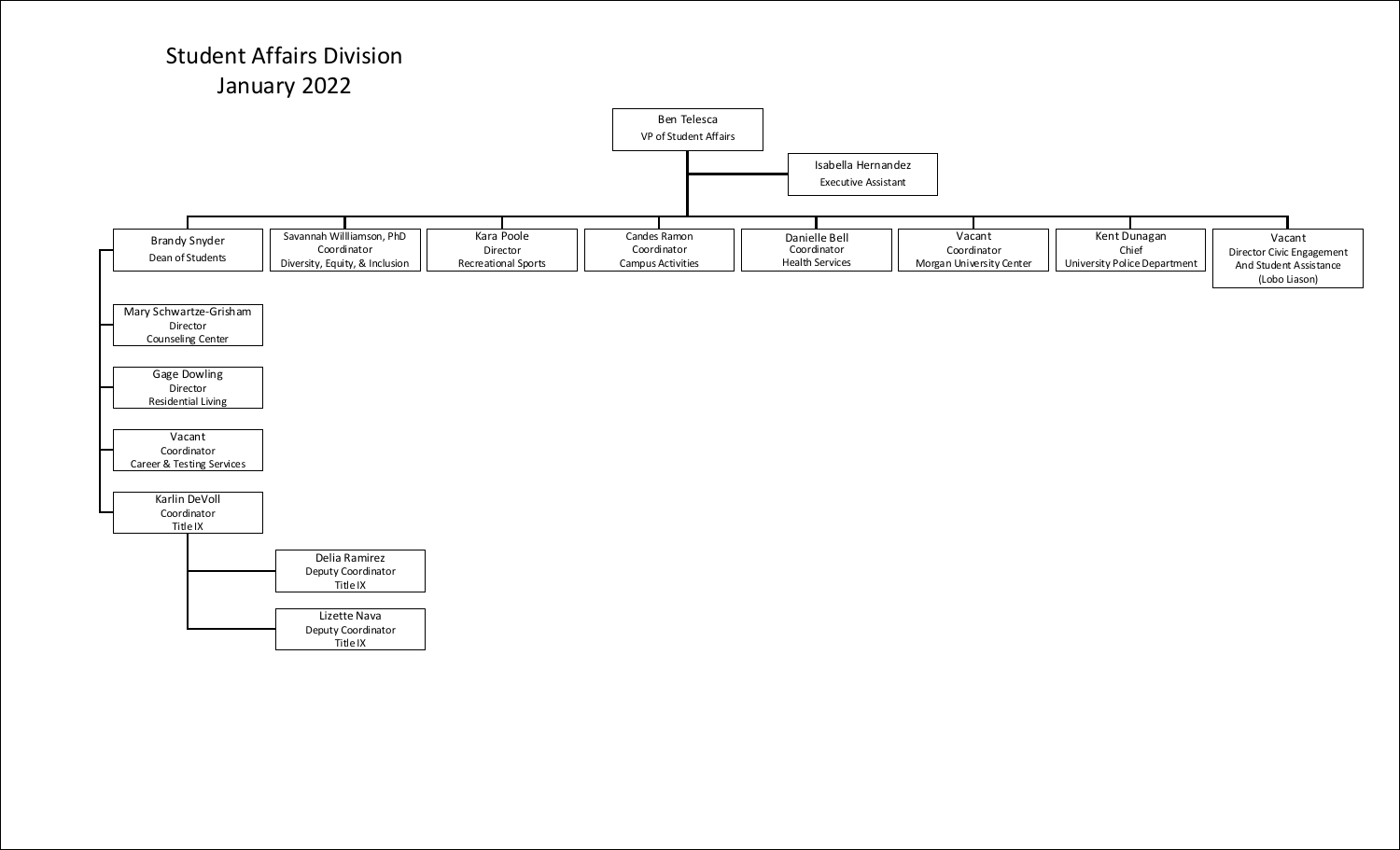## Student Affairs Division January 2022